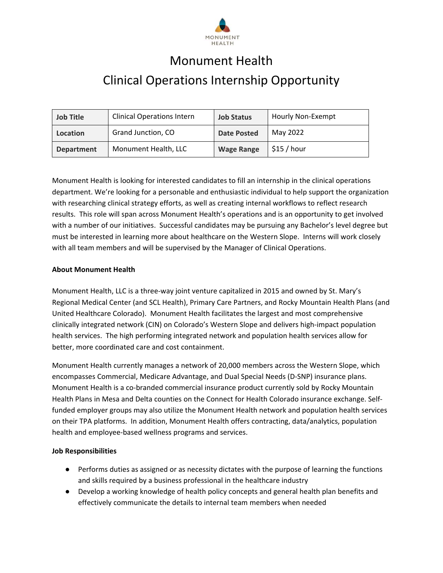

# Monument Health Clinical Operations Internship Opportunity

| <b>Job Title</b>  | <b>Clinical Operations Intern</b> | <b>Job Status</b>  | Hourly Non-Exempt |
|-------------------|-----------------------------------|--------------------|-------------------|
| Location          | Grand Junction, CO                | <b>Date Posted</b> | May 2022          |
| <b>Department</b> | Monument Health, LLC              | <b>Wage Range</b>  | \$15/hour         |

Monument Health is looking for interested candidates to fill an internship in the clinical operations department. We're looking for a personable and enthusiastic individual to help support the organization with researching clinical strategy efforts, as well as creating internal workflows to reflect research results. This role will span across Monument Health's operations and is an opportunity to get involved with a number of our initiatives. Successful candidates may be pursuing any Bachelor's level degree but must be interested in learning more about healthcare on the Western Slope. Interns will work closely with all team members and will be supervised by the Manager of Clinical Operations.

#### **About Monument Health**

Monument Health, LLC is a three‐way joint venture capitalized in 2015 and owned by St. Mary's Regional Medical Center (and SCL Health), Primary Care Partners, and Rocky Mountain Health Plans (and United Healthcare Colorado). Monument Health facilitates the largest and most comprehensive clinically integrated network (CIN) on Colorado's Western Slope and delivers high‐impact population health services. The high performing integrated network and population health services allow for better, more coordinated care and cost containment.

Monument Health currently manages a network of 20,000 members across the Western Slope, which encompasses Commercial, Medicare Advantage, and Dual Special Needs (D‐SNP) insurance plans. Monument Health is a co‐branded commercial insurance product currently sold by Rocky Mountain Health Plans in Mesa and Delta counties on the Connect for Health Colorado insurance exchange. Self‐ funded employer groups may also utilize the Monument Health network and population health services on their TPA platforms. In addition, Monument Health offers contracting, data/analytics, population health and employee‐based wellness programs and services.

### **Job Responsibilities**

- Performs duties as assigned or as necessity dictates with the purpose of learning the functions and skills required by a business professional in the healthcare industry
- Develop a working knowledge of health policy concepts and general health plan benefits and effectively communicate the details to internal team members when needed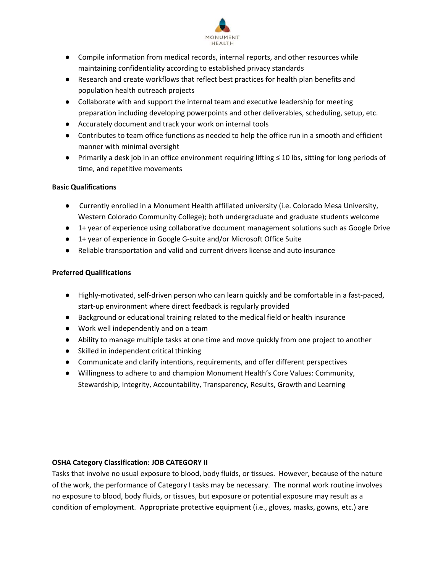

- Compile information from medical records, internal reports, and other resources while maintaining confidentiality according to established privacy standards
- Research and create workflows that reflect best practices for health plan benefits and population health outreach projects
- Collaborate with and support the internal team and executive leadership for meeting preparation including developing powerpoints and other deliverables, scheduling, setup, etc.
- Accurately document and track your work on internal tools
- Contributes to team office functions as needed to help the office run in a smooth and efficient manner with minimal oversight
- Primarily a desk job in an office environment requiring lifting ≤ 10 lbs, sitting for long periods of time, and repetitive movements

# **Basic Qualifications**

- Currently enrolled in a Monument Health affiliated university (i.e. Colorado Mesa University, Western Colorado Community College); both undergraduate and graduate students welcome
- 1+ year of experience using collaborative document management solutions such as Google Drive
- 1+ year of experience in Google G-suite and/or Microsoft Office Suite
- Reliable transportation and valid and current drivers license and auto insurance

# **Preferred Qualifications**

- Highly-motivated, self-driven person who can learn quickly and be comfortable in a fast-paced, start-up environment where direct feedback is regularly provided
- Background or educational training related to the medical field or health insurance
- Work well independently and on a team
- Ability to manage multiple tasks at one time and move quickly from one project to another
- Skilled in independent critical thinking
- Communicate and clarify intentions, requirements, and offer different perspectives
- Willingness to adhere to and champion Monument Health's Core Values: Community, Stewardship, Integrity, Accountability, Transparency, Results, Growth and Learning

### **OSHA Category Classification: JOB CATEGORY II**

Tasks that involve no usual exposure to blood, body fluids, or tissues. However, because of the nature of the work, the performance of Category I tasks may be necessary. The normal work routine involves no exposure to blood, body fluids, or tissues, but exposure or potential exposure may result as a condition of employment. Appropriate protective equipment (i.e., gloves, masks, gowns, etc.) are